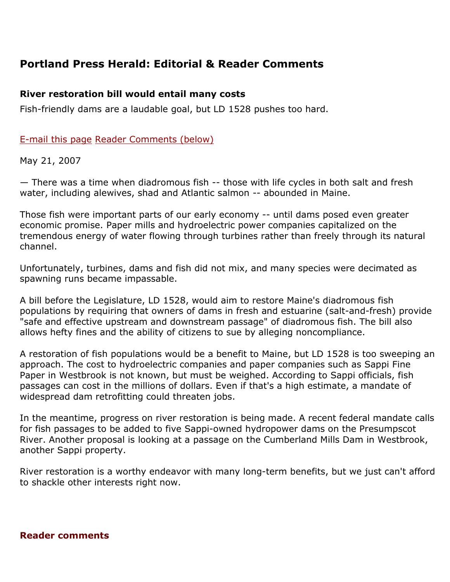# Portland Press Herald: Editorial & Reader Comments

## River restoration bill would entail many costs

Fish-friendly dams are a laudable goal, but LD 1528 pushes too hard.

## E-mail this page Reader Comments (below)

May 21, 2007

— There was a time when diadromous fish -- those with life cycles in both salt and fresh water, including alewives, shad and Atlantic salmon -- abounded in Maine.

Those fish were important parts of our early economy -- until dams posed even greater economic promise. Paper mills and hydroelectric power companies capitalized on the tremendous energy of water flowing through turbines rather than freely through its natural channel.

Unfortunately, turbines, dams and fish did not mix, and many species were decimated as spawning runs became impassable.

A bill before the Legislature, LD 1528, would aim to restore Maine's diadromous fish populations by requiring that owners of dams in fresh and estuarine (salt-and-fresh) provide "safe and effective upstream and downstream passage" of diadromous fish. The bill also allows hefty fines and the ability of citizens to sue by alleging noncompliance.

A restoration of fish populations would be a benefit to Maine, but LD 1528 is too sweeping an approach. The cost to hydroelectric companies and paper companies such as Sappi Fine Paper in Westbrook is not known, but must be weighed. According to Sappi officials, fish passages can cost in the millions of dollars. Even if that's a high estimate, a mandate of widespread dam retrofitting could threaten jobs.

In the meantime, progress on river restoration is being made. A recent federal mandate calls for fish passages to be added to five Sappi-owned hydropower dams on the Presumpscot River. Another proposal is looking at a passage on the Cumberland Mills Dam in Westbrook, another Sappi property.

River restoration is a worthy endeavor with many long-term benefits, but we just can't afford to shackle other interests right now.

#### Reader comments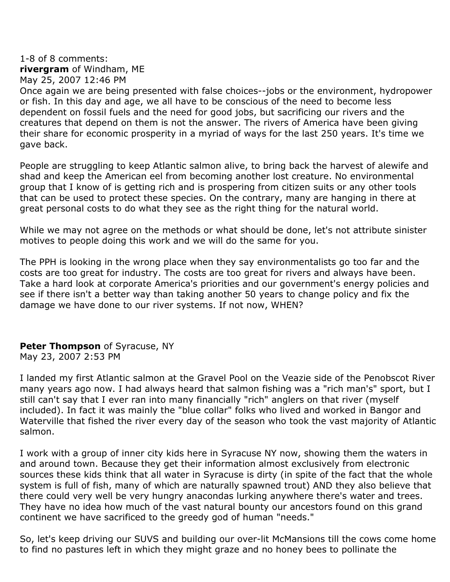### 1-8 of 8 comments: rivergram of Windham, ME May 25, 2007 12:46 PM

Once again we are being presented with false choices--jobs or the environment, hydropower or fish. In this day and age, we all have to be conscious of the need to become less dependent on fossil fuels and the need for good jobs, but sacrificing our rivers and the creatures that depend on them is not the answer. The rivers of America have been giving their share for economic prosperity in a myriad of ways for the last 250 years. It's time we gave back.

People are struggling to keep Atlantic salmon alive, to bring back the harvest of alewife and shad and keep the American eel from becoming another lost creature. No environmental group that I know of is getting rich and is prospering from citizen suits or any other tools that can be used to protect these species. On the contrary, many are hanging in there at great personal costs to do what they see as the right thing for the natural world.

While we may not agree on the methods or what should be done, let's not attribute sinister motives to people doing this work and we will do the same for you.

The PPH is looking in the wrong place when they say environmentalists go too far and the costs are too great for industry. The costs are too great for rivers and always have been. Take a hard look at corporate America's priorities and our government's energy policies and see if there isn't a better way than taking another 50 years to change policy and fix the damage we have done to our river systems. If not now, WHEN?

## Peter Thompson of Syracuse, NY

May 23, 2007 2:53 PM

I landed my first Atlantic salmon at the Gravel Pool on the Veazie side of the Penobscot River many years ago now. I had always heard that salmon fishing was a "rich man's" sport, but I still can't say that I ever ran into many financially "rich" anglers on that river (myself included). In fact it was mainly the "blue collar" folks who lived and worked in Bangor and Waterville that fished the river every day of the season who took the vast majority of Atlantic salmon.

I work with a group of inner city kids here in Syracuse NY now, showing them the waters in and around town. Because they get their information almost exclusively from electronic sources these kids think that all water in Syracuse is dirty (in spite of the fact that the whole system is full of fish, many of which are naturally spawned trout) AND they also believe that there could very well be very hungry anacondas lurking anywhere there's water and trees. They have no idea how much of the vast natural bounty our ancestors found on this grand continent we have sacrificed to the greedy god of human "needs."

So, let's keep driving our SUVS and building our over-lit McMansions till the cows come home to find no pastures left in which they might graze and no honey bees to pollinate the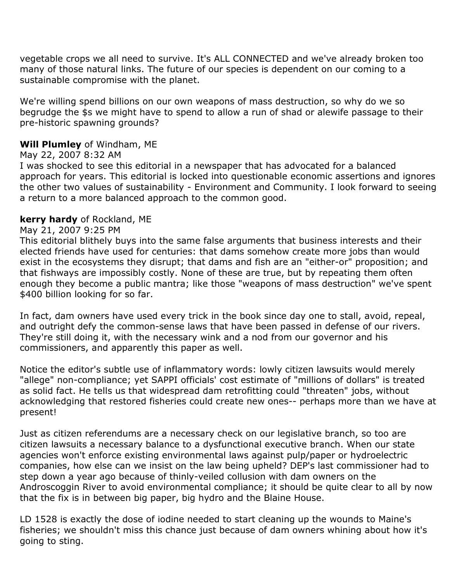vegetable crops we all need to survive. It's ALL CONNECTED and we've already broken too many of those natural links. The future of our species is dependent on our coming to a sustainable compromise with the planet.

We're willing spend billions on our own weapons of mass destruction, so why do we so begrudge the \$s we might have to spend to allow a run of shad or alewife passage to their pre-historic spawning grounds?

## Will Plumley of Windham, ME

## May 22, 2007 8:32 AM

I was shocked to see this editorial in a newspaper that has advocated for a balanced approach for years. This editorial is locked into questionable economic assertions and ignores the other two values of sustainability - Environment and Community. I look forward to seeing a return to a more balanced approach to the common good.

#### kerry hardy of Rockland, ME

## May 21, 2007 9:25 PM

This editorial blithely buys into the same false arguments that business interests and their elected friends have used for centuries: that dams somehow create more jobs than would exist in the ecosystems they disrupt; that dams and fish are an "either-or" proposition; and that fishways are impossibly costly. None of these are true, but by repeating them often enough they become a public mantra; like those "weapons of mass destruction" we've spent \$400 billion looking for so far.

In fact, dam owners have used every trick in the book since day one to stall, avoid, repeal, and outright defy the common-sense laws that have been passed in defense of our rivers. They're still doing it, with the necessary wink and a nod from our governor and his commissioners, and apparently this paper as well.

Notice the editor's subtle use of inflammatory words: lowly citizen lawsuits would merely "allege" non-compliance; yet SAPPI officials' cost estimate of "millions of dollars" is treated as solid fact. He tells us that widespread dam retrofitting could "threaten" jobs, without acknowledging that restored fisheries could create new ones-- perhaps more than we have at present!

Just as citizen referendums are a necessary check on our legislative branch, so too are citizen lawsuits a necessary balance to a dysfunctional executive branch. When our state agencies won't enforce existing environmental laws against pulp/paper or hydroelectric companies, how else can we insist on the law being upheld? DEP's last commissioner had to step down a year ago because of thinly-veiled collusion with dam owners on the Androscoggin River to avoid environmental compliance; it should be quite clear to all by now that the fix is in between big paper, big hydro and the Blaine House.

LD 1528 is exactly the dose of iodine needed to start cleaning up the wounds to Maine's fisheries; we shouldn't miss this chance just because of dam owners whining about how it's going to sting.